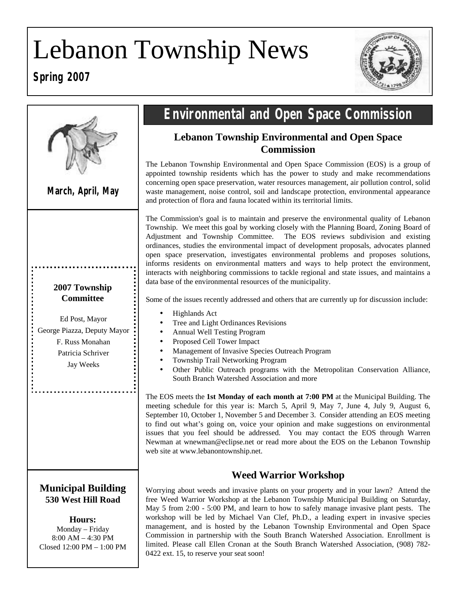# Lebanon Township News

# **Spring 2007**





# **Environmental and Open Space Commission**

# **Lebanon Township Environmental and Open Space Commission**

The Lebanon Township Environmental and Open Space Commission (EOS) is a group of appointed township residents which has the power to study and make recommendations concerning open space preservation, water resources management, air pollution control, solid waste management, noise control, soil and landscape protection, environmental appearance and protection of flora and fauna located within its territorial limits.

The Commission's goal is to maintain and preserve the environmental quality of Lebanon Township. We meet this goal by working closely with the Planning Board, Zoning Board of Adjustment and Township Committee. The EOS reviews subdivision and existing ordinances, studies the environmental impact of development proposals, advocates planned open space preservation, investigates environmental problems and proposes solutions, informs residents on environmental matters and ways to help protect the environment, interacts with neighboring commissions to tackle regional and state issues, and maintains a data base of the environmental resources of the municipality.

Some of the issues recently addressed and others that are currently up for discussion include:

- Highlands Act
- Tree and Light Ordinances Revisions
- Annual Well Testing Program
- Proposed Cell Tower Impact
- Management of Invasive Species Outreach Program
- Township Trail Networking Program
- Other Public Outreach programs with the Metropolitan Conservation Alliance, South Branch Watershed Association and more

The EOS meets the **1st Monday of each month at 7:00 PM** at the Municipal Building. The meeting schedule for this year is: March 5, April 9, May 7, June 4, July 9, August 6, September 10, October 1, November 5 and December 3. Consider attending an EOS meeting to find out what's going on, voice your opinion and make suggestions on environmental issues that you feel should be addressed. You may contact the EOS through Warren Newman at wnewman@eclipse.net or read more about the EOS on the Lebanon Township web site at www.lebanontownship.net.

# **Weed Warrior Workshop**

Worrying about weeds and invasive plants on your property and in your lawn? Attend the free Weed Warrior Workshop at the Lebanon Township Municipal Building on Saturday, May 5 from 2:00 - 5:00 PM, and learn to how to safely manage invasive plant pests. The workshop will be led by Michael Van Clef, Ph.D., a leading expert in invasive species management, and is hosted by the Lebanon Township Environmental and Open Space Commission in partnership with the South Branch Watershed Association. Enrollment is limited. Please call Ellen Cronan at the South Branch Watershed Association, (908) 782- 0422 ext. 15, to reserve your seat soon!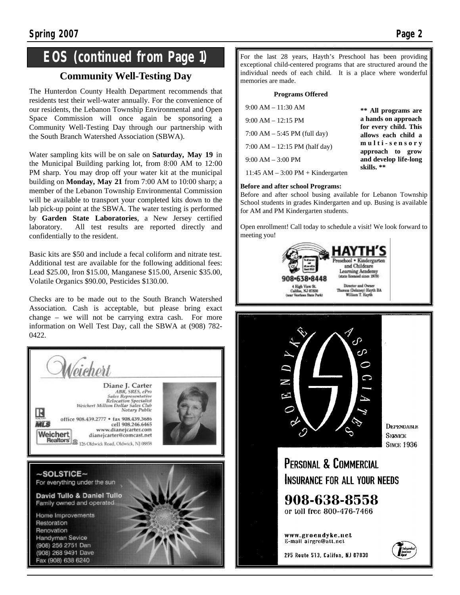# **EOS (continued from Page 1)**

# **Community Well-Testing Day**

The Hunterdon County Health Department recommends that residents test their well-water annually. For the convenience of our residents, the Lebanon Township Environmental and Open Space Commission will once again be sponsoring a Community Well-Testing Day through our partnership with the South Branch Watershed Association (SBWA).

Water sampling kits will be on sale on **Saturday, May 19** in the Municipal Building parking lot, from 8:00 AM to 12:00 PM sharp. You may drop off your water kit at the municipal building on **Monday, May 21** from 7:00 AM to 10:00 sharp; a member of the Lebanon Township Environmental Commission will be available to transport your completed kits down to the lab pick-up point at the SBWA. The water testing is performed by **Garden State Laboratories**, a New Jersey certified laboratory. All test results are reported directly and confidentially to the resident.

Basic kits are \$50 and include a fecal coliform and nitrate test. Additional test are available for the following additional fees: Lead \$25.00, Iron \$15.00, Manganese \$15.00, Arsenic \$35.00, Volatile Organics \$90.00, Pesticides \$130.00.

Checks are to be made out to the South Branch Watershed Association. Cash is acceptable, but please bring exact change – we will not be carrying extra cash. For more information on Well Test Day, call the SBWA at (908) 782- 0422.



For the last 28 years, Hayth's Preschool has been providing exceptional child-centered programs that are structured around the individual needs of each child. It is a place where wonderful memories are made.

#### **Programs Offered**

| $9:00 AM - 11:30 AM$                    | ** All programs are                          |
|-----------------------------------------|----------------------------------------------|
| $9:00 AM - 12:15 PM$                    | a hands on approach                          |
| $7:00 AM - 5:45 PM$ (full day)          | for every child. This<br>allows each child a |
| $7:00 AM - 12:15 PM$ (half day)         | multi-sensory<br>approach to grow            |
| $9:00 AM - 3:00 PM$                     | and develop life-long                        |
| $11:45$ AM $- 3:00$ PM $+$ Kindergarten | skills.**                                    |

#### **Before and after school Programs:**

Before and after school busing available for Lebanon Township School students in grades Kindergarten and up. Busing is available for AM and PM Kindergarten students.

Open enrollment! Call today to schedule a visit! We look forward to meeting you!





**DEPENDABLE SERVICE SINCE 1936** 

PERSONAL & COMMERCIAL INSURANCE FOR ALL YOUR NEEDS

908-638-8558 or toll free 800-476-7466

www.groendyke.net E-mail airgro@att.net

295 Route 513, Califon, NJ 07830

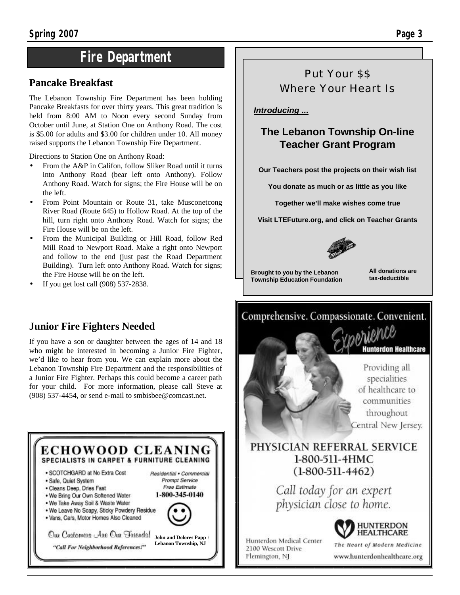# **Fire Department**

# **Pancake Breakfast**

The Lebanon Township Fire Department has been holding Pancake Breakfasts for over thirty years. This great tradition is held from 8:00 AM to Noon every second Sunday from October until June, at Station One on Anthony Road. The cost is \$5.00 for adults and \$3.00 for children under 10. All money raised supports the Lebanon Township Fire Department.

Directions to Station One on Anthony Road:

- From the A&P in Califon, follow Sliker Road until it turns into Anthony Road (bear left onto Anthony). Follow Anthony Road. Watch for signs; the Fire House will be on the left.
- From Point Mountain or Route 31, take Musconetcong River Road (Route 645) to Hollow Road. At the top of the hill, turn right onto Anthony Road. Watch for signs; the Fire House will be on the left.
- From the Municipal Building or Hill Road, follow Red Mill Road to Newport Road. Make a right onto Newport and follow to the end (just past the Road Department Building). Turn left onto Anthony Road. Watch for signs; the Fire House will be on the left.
- If you get lost call (908) 537-2838.

# **Junior Fire Fighters Needed**

If you have a son or daughter between the ages of 14 and 18 who might be interested in becoming a Junior Fire Fighter, we'd like to hear from you. We can explain more about the Lebanon Township Fire Department and the responsibilities of a Junior Fire Fighter. Perhaps this could become a career path for your child. For more information, please call Steve at (908) 537-4454, or send e-mail to smbisbee@comcast.net.

ECHOWOOD CLEANING SPECIALISTS IN CARPET & FURNITURE CLEANING · SCOTCHGARD at No Extra Cost Residential . Commercial · Safe, Quiet System Prompt Service Free Estimate · Cleans Deep, Dries Fast 1-800-345-0140 . We Bring Our Own Softened Water . We Take Away Soil & Waste Water . We Leave No Soapy, Sticky Powdery Residue · Vans, Cars, Motor Homes Also Cleaned Oux Customers Are Our Friends! **John and Dolores Papp Lebanon Township, NJ**"Call For Neighborhood References!"

Put Your \$\$ Where Your Heart Is

## *Introducing ...*

# **The Lebanon Township On-line Teacher Grant Program**

**Our Teachers post the projects on their wish list**

**You donate as much or as little as you like**

**Together we'll make wishes come true**

**Visit LTEFuture.org, and click on Teacher Grants** 



**Brought to you by the Lebanon Township Education Foundation** 

**All donations are tax-deductible**

# Comprehensive. Compassionate. Convenient.



of healthcare to communities throughout Central New Jersey.

# PHYSICIAN REFERRAL SERVICE 1-800-511-4HMC  $(1-800-511-4462)$

Call today for an expert physician close to home.





The Heart of Modern Medicine www.hunterdonhealthcare.org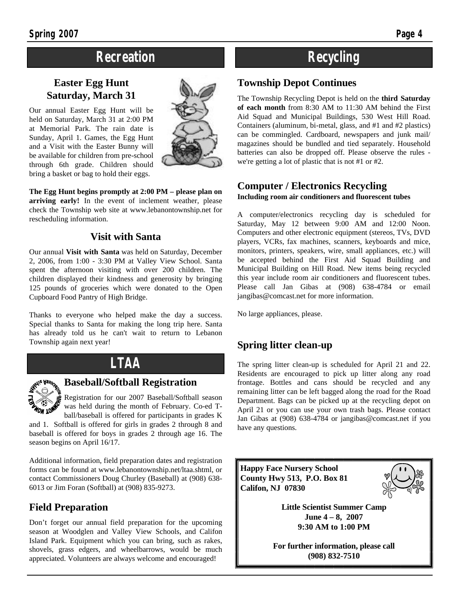# **Recreation**

# **Easter Egg Hunt Saturday, March 31**

Our annual Easter Egg Hunt will be held on Saturday, March 31 at 2:00 PM at Memorial Park. The rain date is Sunday, April 1. Games, the Egg Hunt and a Visit with the Easter Bunny will be available for children from pre-school through 6th grade. Children should bring a basket or bag to hold their eggs.



**The Egg Hunt begins promptly at 2:00 PM – please plan on arriving early!** In the event of inclement weather, please check the Township web site at www.lebanontownship.net for rescheduling information.

# **Visit with Santa**

Our annual **Visit with Santa** was held on Saturday, December 2, 2006, from 1:00 - 3:30 PM at Valley View School. Santa spent the afternoon visiting with over 200 children. The children displayed their kindness and generosity by bringing 125 pounds of groceries which were donated to the Open Cupboard Food Pantry of High Bridge.

Thanks to everyone who helped make the day a success. Special thanks to Santa for making the long trip here. Santa has already told us he can't wait to return to Lebanon Township again next year!

# **LTAA**



# **Baseball/Softball Registration**

Registration for our 2007 Baseball/Softball season was held during the month of February. Co-ed Tball/baseball is offered for participants in grades K

and 1. Softball is offered for girls in grades 2 through 8 and baseball is offered for boys in grades 2 through age 16. The season begins on April 16/17.

Additional information, field preparation dates and registration forms can be found at www.lebanontownship.net/ltaa.shtml, or contact Commissioners Doug Churley (Baseball) at (908) 638- 6013 or Jim Foran (Softball) at (908) 835-9273.

# **Field Preparation**

Don't forget our annual field preparation for the upcoming season at Woodglen and Valley View Schools, and Califon Island Park. Equipment which you can bring, such as rakes, shovels, grass edgers, and wheelbarrows, would be much appreciated. Volunteers are always welcome and encouraged!

# **Recycling**

## **Township Depot Continues**

The Township Recycling Depot is held on the **third Saturday of each month** from 8:30 AM to 11:30 AM behind the First Aid Squad and Municipal Buildings, 530 West Hill Road. Containers (aluminum, bi-metal, glass, and #1 and #2 plastics) can be commingled. Cardboard, newspapers and junk mail/ magazines should be bundled and tied separately. Household batteries can also be dropped off. Please observe the rules we're getting a lot of plastic that is not #1 or #2.

# **Computer / Electronics Recycling**

**Including room air conditioners and fluorescent tubes**

A computer/electronics recycling day is scheduled for Saturday, May 12 between 9:00 AM and 12:00 Noon. Computers and other electronic equipment (stereos, TVs, DVD players, VCRs, fax machines, scanners, keyboards and mice, monitors, printers, speakers, wire, small appliances, etc.) will be accepted behind the First Aid Squad Building and Municipal Building on Hill Road. New items being recycled this year include room air conditioners and fluorescent tubes. Please call Jan Gibas at (908) 638-4784 or email jangibas@comcast.net for more information.

No large appliances, please.

# **Spring litter clean-up**

The spring litter clean-up is scheduled for April 21 and 22. Residents are encouraged to pick up litter along any road frontage. Bottles and cans should be recycled and any remaining litter can be left bagged along the road for the Road Department. Bags can be picked up at the recycling depot on April 21 or you can use your own trash bags. Please contact Jan Gibas at (908) 638-4784 or jangibas@comcast.net if you have any questions.

**Happy Face Nursery School County Hwy 513, P.O. Box 81 Califon, NJ 07830** 



**Little Scientist Summer Camp June 4 – 8, 2007 9:30 AM to 1:00 PM**

**For further information, please call (908) 832-7510**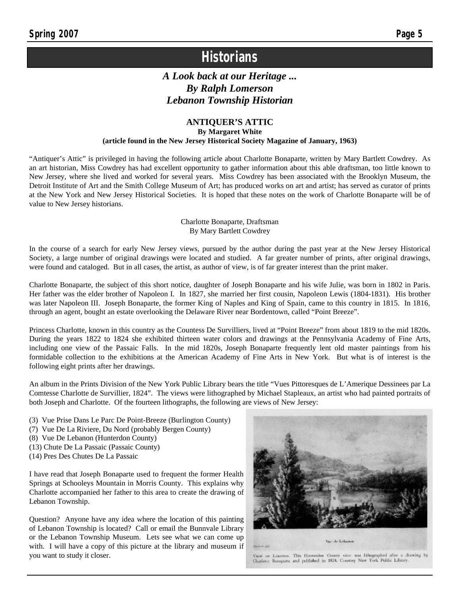# **Historians**

# *A Look back at our Heritage ... By Ralph Lomerson Lebanon Township Historian*

## **ANTIQUER'S ATTIC**

**By Margaret White**

**(article found in the New Jersey Historical Society Magazine of January, 1963)**

"Antiquer's Attic" is privileged in having the following article about Charlotte Bonaparte, written by Mary Bartlett Cowdrey. As an art historian, Miss Cowdrey has had excellent opportunity to gather information about this able draftsman, too little known to New Jersey, where she lived and worked for several years. Miss Cowdrey has been associated with the Brooklyn Museum, the Detroit Institute of Art and the Smith College Museum of Art; has produced works on art and artist; has served as curator of prints at the New York and New Jersey Historical Societies. It is hoped that these notes on the work of Charlotte Bonaparte will be of value to New Jersey historians.

#### Charlotte Bonaparte, Draftsman By Mary Bartlett Cowdrey

In the course of a search for early New Jersey views, pursued by the author during the past year at the New Jersey Historical Society, a large number of original drawings were located and studied. A far greater number of prints, after original drawings, were found and cataloged. But in all cases, the artist, as author of view, is of far greater interest than the print maker.

Charlotte Bonaparte, the subject of this short notice, daughter of Joseph Bonaparte and his wife Julie, was born in 1802 in Paris. Her father was the elder brother of Napoleon I. In 1827, she married her first cousin, Napoleon Lewis (1804-1831). His brother was later Napoleon III. Joseph Bonaparte, the former King of Naples and King of Spain, came to this country in 1815. In 1816, through an agent, bought an estate overlooking the Delaware River near Bordentown, called "Point Breeze".

Princess Charlotte, known in this country as the Countess De Survilliers, lived at "Point Breeze" from about 1819 to the mid 1820s. During the years 1822 to 1824 she exhibited thirteen water colors and drawings at the Pennsylvania Academy of Fine Arts, including one view of the Passaic Falls. In the mid 1820s, Joseph Bonaparte frequently lent old master paintings from his formidable collection to the exhibitions at the American Academy of Fine Arts in New York. But what is of interest is the following eight prints after her drawings.

An album in the Prints Division of the New York Public Library bears the title "Vues Pittoresques de L'Amerique Dessinees par La Comtesse Charlotte de Survillier, 1824". The views were lithographed by Michael Stapleaux, an artist who had painted portraits of both Joseph and Charlotte. Of the fourteen lithographs, the following are views of New Jersey:

- (3) Vue Prise Dans Le Parc De Point-Breeze (Burlington County)
- (7) Vue De La Riviere, Du Nord (probably Bergen County)
- (8) Vue De Lebanon (Hunterdon County)
- (13) Chute De La Passaic (Passaic County)
- (14) Pres Des Chutes De La Passaic

I have read that Joseph Bonaparte used to frequent the former Health Springs at Schooleys Mountain in Morris County. This explains why Charlotte accompanied her father to this area to create the drawing of Lebanon Township.

Question? Anyone have any idea where the location of this painting of Lebanon Township is located? Call or email the Bunnvale Library or the Lebanon Township Museum. Lets see what we can come up with. I will have a copy of this picture at the library and museum if you want to study it closer.



VIEW OF LIBANON. This Humerdan Co. ity view was Bthographed after a drawing by Charlotte Bonaparte and published in 1824. Courtrsy New York Public Library.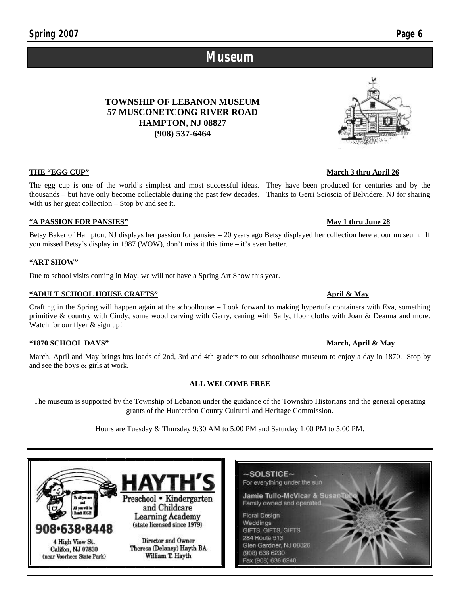## **THE "EGG CUP"** March 3 thru April 26

The egg cup is one of the world's simplest and most successful ideas. They have been produced for centuries and by the thousands – but have only become collectable during the past few decades. Thanks to Gerri Scioscia of Belvidere, NJ for sharing with us her great collection – Stop by and see it.

**TOWNSHIP OF LEBANON MUSEUM**

**HAMPTON, NJ 08827 (908) 537-6464**

#### **"A PASSION FOR PANSIES" May 1 thru June 28**

Betsy Baker of Hampton, NJ displays her passion for pansies – 20 years ago Betsy displayed her collection here at our museum. If you missed Betsy's display in 1987 (WOW), don't miss it this time – it's even better.

**Museum**

#### **"ART SHOW"**

Due to school visits coming in May, we will not have a Spring Art Show this year.

#### **"ADULT SCHOOL HOUSE CRAFTS" April & May**

Crafting in the Spring will happen again at the schoolhouse – Look forward to making hypertufa containers with Eva, something primitive & country with Cindy, some wood carving with Gerry, caning with Sally, floor cloths with Joan & Deanna and more. Watch for our flyer & sign up!

#### **"1870 SCHOOL DAYS" March, April & May**

March, April and May brings bus loads of 2nd, 3rd and 4th graders to our schoolhouse museum to enjoy a day in 1870. Stop by and see the boys & girls at work.

#### **ALL WELCOME FREE**

The museum is supported by the Township of Lebanon under the guidance of the Township Historians and the general operating grants of the Hunterdon County Cultural and Heritage Commission.

Hours are Tuesday & Thursday 9:30 AM to 5:00 PM and Saturday 1:00 PM to 5:00 PM.

 $\sim$ SOLSTICE $\sim$ For everything under the sun Jamie Tullo-McVicar & Susar eschool • Kindergarten Family owned and operated and Childcare **Floral Design Learning Academy** Weddings (state licensed since 1979) 38•8448 GIFTS, GIFTS, GIFTS 284 Route 513 Director and Owner 4 High View St. Glen Gardner, NJ 08826 Theresa (Delaney) Hayth BA Califon, NJ 07830 (908) 638 6230 (near Voorhees State Park) William T. Hayth Fax (908) 638 6240

# **57 MUSCONETCONG RIVER ROAD**

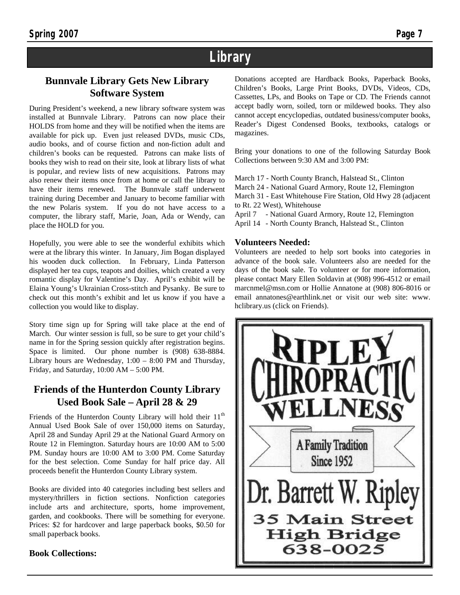# **Library**

# **Bunnvale Library Gets New Library Software System**

During President's weekend, a new library software system was installed at Bunnvale Library. Patrons can now place their HOLDS from home and they will be notified when the items are available for pick up. Even just released DVDs, music CDs, audio books, and of course fiction and non-fiction adult and children's books can be requested. Patrons can make lists of books they wish to read on their site, look at library lists of what is popular, and review lists of new acquisitions. Patrons may also renew their items once from at home or call the library to have their items renewed. The Bunnvale staff underwent training during December and January to become familiar with the new Polaris system. If you do not have access to a computer, the library staff, Marie, Joan, Ada or Wendy, can place the HOLD for you.

Hopefully, you were able to see the wonderful exhibits which were at the library this winter. In January, Jim Bogan displayed his wooden duck collection. In February, Linda Patterson displayed her tea cups, teapots and doilies, which created a very romantic display for Valentine's Day. April's exhibit will be Elaina Young's Ukrainian Cross-stitch and Pysanky. Be sure to check out this month's exhibit and let us know if you have a collection you would like to display.

Story time sign up for Spring will take place at the end of March. Our winter session is full, so be sure to get your child's name in for the Spring session quickly after registration begins. Space is limited. Our phone number is (908) 638-8884. Library hours are Wednesday, 1:00 – 8:00 PM and Thursday, Friday, and Saturday,  $10:00$  AM  $- 5:00$  PM.

# **Friends of the Hunterdon County Library Used Book Sale – April 28 & 29**

Friends of the Hunterdon County Library will hold their  $11<sup>th</sup>$ Annual Used Book Sale of over 150,000 items on Saturday, April 28 and Sunday April 29 at the National Guard Armory on Route 12 in Flemington. Saturday hours are 10:00 AM to 5:00 PM. Sunday hours are 10:00 AM to 3:00 PM. Come Saturday for the best selection. Come Sunday for half price day. All proceeds benefit the Hunterdon County Library system.

Books are divided into 40 categories including best sellers and mystery/thrillers in fiction sections. Nonfiction categories include arts and architecture, sports, home improvement, garden, and cookbooks. There will be something for everyone. Prices: \$2 for hardcover and large paperback books, \$0.50 for small paperback books.

**Book Collections:**

Donations accepted are Hardback Books, Paperback Books, Children's Books, Large Print Books, DVDs, Videos, CDs, Cassettes, LPs, and Books on Tape or CD. The Friends cannot accept badly worn, soiled, torn or mildewed books. They also cannot accept encyclopedias, outdated business/computer books, Reader's Digest Condensed Books, textbooks, catalogs or magazines.

Bring your donations to one of the following Saturday Book Collections between 9:30 AM and 3:00 PM:

March 17 - North County Branch, Halstead St., Clinton March 24 - National Guard Armory, Route 12, Flemington March 31 - East Whitehouse Fire Station, Old Hwy 28 (adjacent to Rt. 22 West), Whitehouse April 7 - National Guard Armory, Route 12, Flemington

April 14 - North County Branch, Halstead St., Clinton

## **Volunteers Needed:**

Volunteers are needed to help sort books into categories in advance of the book sale. Volunteers also are needed for the days of the book sale. To volunteer or for more information, please contact Mary Ellen Soldavin at (908) 996-4512 or email marcnmel@msn.com or Hollie Annatone at (908) 806-8016 or email annatones@earthlink.net or visit our web site: www. hclibrary.us (click on Friends).

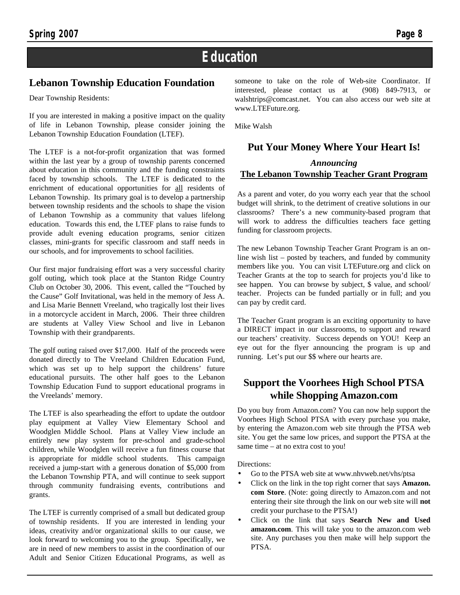# **Education**

## **Lebanon Township Education Foundation**

Dear Township Residents:

If you are interested in making a positive impact on the quality of life in Lebanon Township, please consider joining the Lebanon Township Education Foundation (LTEF).

The LTEF is a not-for-profit organization that was formed within the last year by a group of township parents concerned about education in this community and the funding constraints faced by township schools. The LTEF is dedicated to the enrichment of educational opportunities for all residents of Lebanon Township. Its primary goal is to develop a partnership between township residents and the schools to shape the vision of Lebanon Township as a community that values lifelong education. Towards this end, the LTEF plans to raise funds to provide adult evening education programs, senior citizen classes, mini-grants for specific classroom and staff needs in our schools, and for improvements to school facilities.

Our first major fundraising effort was a very successful charity golf outing, which took place at the Stanton Ridge Country Club on October 30, 2006. This event, called the "Touched by the Cause" Golf Invitational, was held in the memory of Jess A. and Lisa Marie Bennett Vreeland, who tragically lost their lives in a motorcycle accident in March, 2006. Their three children are students at Valley View School and live in Lebanon Township with their grandparents.

The golf outing raised over \$17,000. Half of the proceeds were donated directly to The Vreeland Children Education Fund, which was set up to help support the childrens' future educational pursuits. The other half goes to the Lebanon Township Education Fund to support educational programs in the Vreelands' memory.

The LTEF is also spearheading the effort to update the outdoor play equipment at Valley View Elementary School and Woodglen Middle School. Plans at Valley View include an entirely new play system for pre-school and grade-school children, while Woodglen will receive a fun fitness course that is appropriate for middle school students. This campaign received a jump-start with a generous donation of \$5,000 from the Lebanon Township PTA, and will continue to seek support through community fundraising events, contributions and grants.

The LTEF is currently comprised of a small but dedicated group of township residents. If you are interested in lending your ideas, creativity and/or organizational skills to our cause, we look forward to welcoming you to the group. Specifically, we are in need of new members to assist in the coordination of our Adult and Senior Citizen Educational Programs, as well as someone to take on the role of Web-site Coordinator. If interested, please contact us at (908) 849-7913, or walshtrips@comcast.net. You can also access our web site at www.LTEFuture.org.

Mike Walsh

## **Put Your Money Where Your Heart Is!**

## *Announcing* **The Lebanon Township Teacher Grant Program**

As a parent and voter, do you worry each year that the school budget will shrink, to the detriment of creative solutions in our classrooms? There's a new community-based program that will work to address the difficulties teachers face getting funding for classroom projects.

The new Lebanon Township Teacher Grant Program is an online wish list – posted by teachers, and funded by community members like you. You can visit LTEFuture.org and click on Teacher Grants at the top to search for projects you'd like to see happen. You can browse by subject, \$ value, and school/ teacher. Projects can be funded partially or in full; and you can pay by credit card.

The Teacher Grant program is an exciting opportunity to have a DIRECT impact in our classrooms, to support and reward our teachers' creativity. Success depends on YOU! Keep an eye out for the flyer announcing the program is up and running. Let's put our \$\$ where our hearts are.

# **Support the Voorhees High School PTSA while Shopping Amazon.com**

Do you buy from Amazon.com? You can now help support the Voorhees High School PTSA with every purchase you make, by entering the Amazon.com web site through the PTSA web site. You get the same low prices, and support the PTSA at the same time – at no extra cost to you!

Directions:

- Go to the PTSA web site at www.nhvweb.net/vhs/ptsa
- Click on the link in the top right corner that says **Amazon. com Store**. (Note: going directly to Amazon.com and not entering their site through the link on our web site will **not**  credit your purchase to the PTSA!)
- Click on the link that says **Search New and Used amazon.com**. This will take you to the amazon.com web site. Any purchases you then make will help support the PTSA.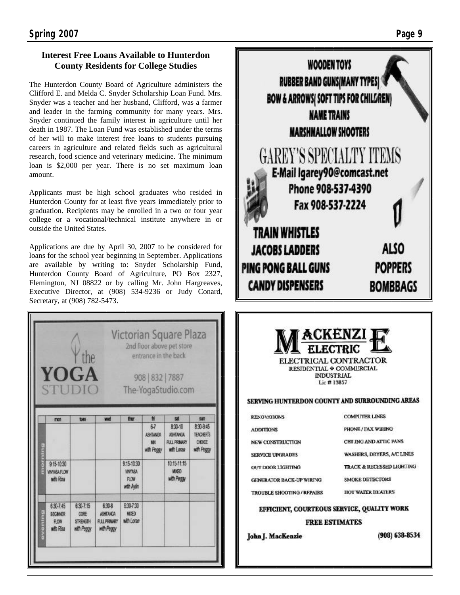## **Interest Free Loans Available to Hunterdon County Residents for College Studies**

The Hunterdon County Board of Agriculture administers the Clifford E. and Melda C. Snyder Scholarship Loan Fund. Mrs. Snyder was a teacher and her husband, Clifford, was a farmer and leader in the farming community for many years. Mrs. Snyder continued the family interest in agriculture until her death in 1987. The Loan Fund was established under the terms of her will to make interest free loans to students pursuing careers in agriculture and related fields such as agricultural research, food science and veterinary medicine. The minimum loan is \$2,000 per year. There is no set maximum loan amount.

Applicants must be high school graduates who resided in Hunterdon County for at least five years immediately prior to graduation. Recipients may be enrolled in a two or four year college or a vocational/technical institute anywhere in or outside the United States.

Applications are due by April 30, 2007 to be considered for loans for the school year beginning in September. Applications are available by writing to: Snyder Scholarship Fund, Hunterdon County Board of Agriculture, PO Box 2327, Flemington, NJ 08822 or by calling Mr. John Hargreaves, Executive Director, at (908) 534-9236 or Judy Conard, Secretary, at (908) 782-5473.





| <b>KENUVALRJNS</b>              | <b>LARGE OF PROPERTY</b>          |
|---------------------------------|-----------------------------------|
| <b>ADDITIONS</b>                | PHONE / FAX WIRING                |
| <b>NEW CONSTRUCTION</b>         | CEILING AND ATTIC FANS            |
| <b>SERVICE UPGRADES</b>         | <b>WASHERS, DRYERS, A/C LINES</b> |
| OUT DOOR LIGHTING               | TRACK & RECESSED LIGHTING         |
| <b>GENERATOR BACK-UP WIRING</b> | <b>SMOKE DETECTORS</b>            |
| TROUBLE SHOOTING / REPAIRS      | <b>IIOT WATER HEATERS</b>         |
|                                 |                                   |

# EFFICIENT, COURTEOUS SERVICE, QUALITY WORK

**FREE ESTIMATES** 

John J. MacKenzie

 $(908) 638 - 8534$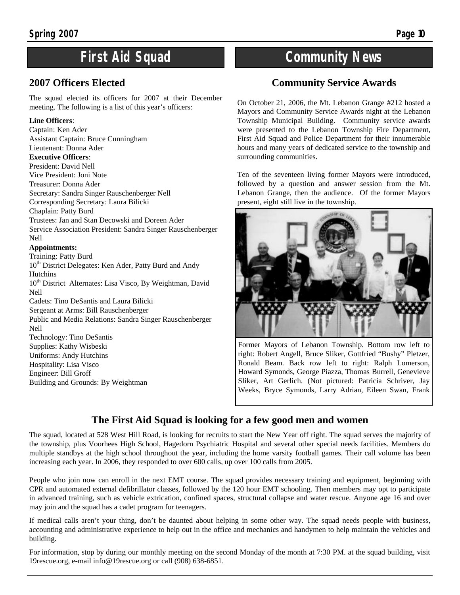# **First Aid Squad**

# **2007 Officers Elected**

The squad elected its officers for 2007 at their December meeting. The following is a list of this year's officers:

#### **Line Officers**:

Captain: Ken Ader Assistant Captain: Bruce Cunningham Lieutenant: Donna Ader **Executive Officers**: President: David Nell Vice President: Joni Note Treasurer: Donna Ader Secretary: Sandra Singer Rauschenberger Nell Corresponding Secretary: Laura Bilicki Chaplain: Patty Burd Trustees: Jan and Stan Decowski and Doreen Ader Service Association President: Sandra Singer Rauschenberger Nell **Appointments:** Training: Patty Burd 10<sup>th</sup> District Delegates: Ken Ader, Patty Burd and Andy **Hutchins** 10<sup>th</sup> District Alternates: Lisa Visco, By Weightman, David Nell Cadets: Tino DeSantis and Laura Bilicki Sergeant at Arms: Bill Rauschenberger Public and Media Relations: Sandra Singer Rauschenberger Nell Technology: Tino DeSantis Supplies: Kathy Wisbeski Uniforms: Andy Hutchins Hospitality: Lisa Visco Engineer: Bill Groff Building and Grounds: By Weightman

# **Community News**

# **Community Service Awards**

On October 21, 2006, the Mt. Lebanon Grange #212 hosted a Mayors and Community Service Awards night at the Lebanon Township Municipal Building. Community service awards were presented to the Lebanon Township Fire Department, First Aid Squad and Police Department for their innumerable hours and many years of dedicated service to the township and surrounding communities.

Ten of the seventeen living former Mayors were introduced, followed by a question and answer session from the Mt. Lebanon Grange, then the audience. Of the former Mayors present, eight still live in the township.



Former Mayors of Lebanon Township. Bottom row left to right: Robert Angell, Bruce Sliker, Gottfried "Bushy" Pletzer, Ronald Beam. Back row left to right: Ralph Lomerson, Howard Symonds, George Piazza, Thomas Burrell, Genevieve Sliker, Art Gerlich. (Not pictured: Patricia Schriver, Jay Weeks, Bryce Symonds, Larry Adrian, Eileen Swan, Frank

# **The First Aid Squad is looking for a few good men and women**

The squad, located at 528 West Hill Road, is looking for recruits to start the New Year off right. The squad serves the majority of the township, plus Voorhees High School, Hagedorn Psychiatric Hospital and several other special needs facilities. Members do multiple standbys at the high school throughout the year, including the home varsity football games. Their call volume has been increasing each year. In 2006, they responded to over 600 calls, up over 100 calls from 2005.

People who join now can enroll in the next EMT course. The squad provides necessary training and equipment, beginning with CPR and automated external defibrillator classes, followed by the 120 hour EMT schooling. Then members may opt to participate in advanced training, such as vehicle extrication, confined spaces, structural collapse and water rescue. Anyone age 16 and over may join and the squad has a cadet program for teenagers.

If medical calls aren't your thing, don't be daunted about helping in some other way. The squad needs people with business, accounting and administrative experience to help out in the office and mechanics and handymen to help maintain the vehicles and building.

For information, stop by during our monthly meeting on the second Monday of the month at 7:30 PM. at the squad building, visit 19rescue.org, e-mail info@19rescue.org or call (908) 638-6851.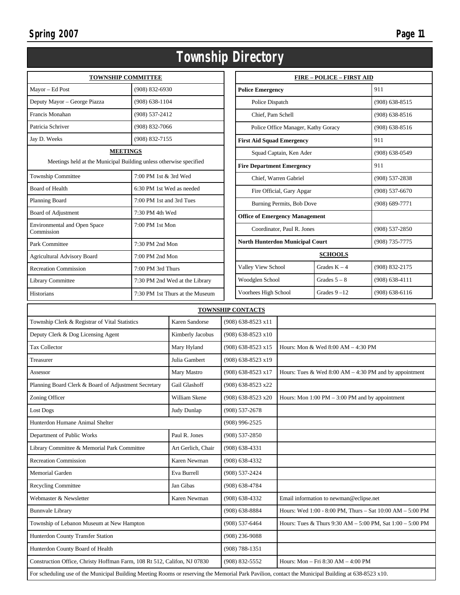| age | 11 |
|-----|----|
|-----|----|

| <b>Township Directory</b>                                                             |                           |                                 |                                  |                                                          |                                        |                    |                    |  |
|---------------------------------------------------------------------------------------|---------------------------|---------------------------------|----------------------------------|----------------------------------------------------------|----------------------------------------|--------------------|--------------------|--|
| <b>TOWNSHIP COMMITTEE</b>                                                             |                           |                                 |                                  | <b>FIRE - POLICE - FIRST AID</b>                         |                                        |                    |                    |  |
| Mayor - Ed Post                                                                       | $(908) 832 - 6930$        |                                 |                                  | <b>Police Emergency</b>                                  |                                        |                    | 911                |  |
| Deputy Mayor - George Piazza                                                          | $(908) 638 - 1104$        |                                 | Police Dispatch                  |                                                          |                                        |                    | $(908) 638 - 8515$ |  |
| Francis Monahan                                                                       | (908) 537-2412            |                                 |                                  | Chief, Pam Schell                                        |                                        |                    | $(908) 638 - 8516$ |  |
| Patricia Schriver                                                                     | (908) 832-7066            |                                 |                                  | Police Office Manager, Kathy Goracy                      |                                        |                    | $(908) 638 - 8516$ |  |
| Jay D. Weeks                                                                          | (908) 832-7155            |                                 | <b>First Aid Squad Emergency</b> |                                                          |                                        |                    | 911                |  |
| <b>MEETINGS</b><br>Meetings held at the Municipal Building unless otherwise specified |                           |                                 | Squad Captain, Ken Ader          |                                                          |                                        | $(908) 638 - 0549$ |                    |  |
|                                                                                       |                           |                                 | <b>Fire Department Emergency</b> |                                                          |                                        | 911                |                    |  |
| Township Committee                                                                    | 7:00 PM 1st & 3rd Wed     |                                 |                                  | Chief, Warren Gabriel                                    |                                        |                    | $(908) 537 - 2838$ |  |
| <b>Board of Health</b>                                                                | 6:30 PM 1st Wed as needed |                                 |                                  |                                                          | Fire Official, Gary Apgar              |                    | $(908) 537 - 6670$ |  |
| Planning Board                                                                        | 7:00 PM 1st and 3rd Tues  |                                 |                                  |                                                          | Burning Permits, Bob Dove              |                    | $(908) 689 - 7771$ |  |
| Board of Adjustment                                                                   | 7:30 PM 4th Wed           |                                 |                                  |                                                          | <b>Office of Emergency Management</b>  |                    |                    |  |
| <b>Environmental and Open Space</b><br>Commission                                     | 7:00 PM 1st Mon           |                                 |                                  |                                                          | Coordinator, Paul R. Jones             |                    | (908) 537-2850     |  |
| Park Committee                                                                        | 7:30 PM 2nd Mon           |                                 |                                  |                                                          | <b>North Hunterdon Municipal Court</b> |                    | (908) 735-7775     |  |
| <b>Agricultural Advisory Board</b>                                                    | 7:00 PM 2nd Mon           |                                 |                                  |                                                          | <b>SCHOOLS</b>                         |                    |                    |  |
| <b>Recreation Commission</b>                                                          | 7:00 PM 3rd Thurs         |                                 |                                  | Valley View School                                       |                                        | Grades $K - 4$     | (908) 832-2175     |  |
| Library Committee                                                                     |                           | 7:30 PM 2nd Wed at the Library  | Woodglen School                  |                                                          |                                        | Grades $5 - 8$     | $(908) 638 - 4111$ |  |
| Historians                                                                            |                           | 7:30 PM 1st Thurs at the Museum | Voorhees High School             |                                                          |                                        | Grades $9 - 12$    | $(908) 638 - 6116$ |  |
| <b>TOWNSHIP CONTACTS</b>                                                              |                           |                                 |                                  |                                                          |                                        |                    |                    |  |
| Township Clerk & Registrar of Vital Statistics                                        |                           | Karen Sandorse                  |                                  | (908) 638-8523 x11                                       |                                        |                    |                    |  |
| Deputy Clerk & Dog Licensing Agent                                                    |                           | Kimberly Jacobus                |                                  | $(908)$ 638-8523 x10                                     |                                        |                    |                    |  |
| Tax Collector<br>Mary Hyland                                                          |                           |                                 | (908) 638-8523 x15               |                                                          | Hours: Mon & Wed $8:00 AM - 4:30 PM$   |                    |                    |  |
| Julia Gambert<br>Treasurer                                                            |                           |                                 | (908) 638-8523 x19               |                                                          |                                        |                    |                    |  |
| Mary Mastro<br>Assessor                                                               |                           | (908) 638-8523 x17              |                                  | Hours: Tues & Wed $8:00 AM - 4:30 PM$ and by appointment |                                        |                    |                    |  |
| Planning Board Clerk & Board of Adjustment Secretary<br>Gail Glashoff                 |                           |                                 | (908) 638-8523 x22               |                                                          |                                        |                    |                    |  |
| Zoning Officer<br>William Skene                                                       |                           | (908) 638-8523 x20              |                                  | Hours: Mon $1:00$ PM $-3:00$ PM and by appointment       |                                        |                    |                    |  |
| Lost Dogs<br>Judy Dunlap                                                              |                           |                                 | $(908) 537 - 2678$               |                                                          |                                        |                    |                    |  |
| Hunterdon Humane Animal Shelter                                                       |                           |                                 | $(908)$ 996-2525                 |                                                          |                                        |                    |                    |  |
| Paul R. Jones<br>Department of Public Works                                           |                           |                                 | $(908) 537 - 2850$               |                                                          |                                        |                    |                    |  |

Construction Office, Christy Hoffman Farm, 108 Rt 512, Califon, NJ 07830 (908) 832-5552 Hours: Mon – Fri 8:30 AM – 4:00 PM

Webmaster & Newsletter Karen Newman (908) 638-4332 Email information to newman @eclipse.net

Bunnvale Library (908) 638-8884 Hours: Wed 1:00 - 8:00 PM, Thurs – Sat 10:00 AM – 5:00 PM Township of Lebanon Museum at New Hampton (908) 537-6464 Hours: Tues & Thurs 9:30 AM – 5:00 PM, Sat 1:00 – 5:00 PM

Library Committee & Memorial Park Committee Art Gerlich, Chair (908) 638-4331 Recreation Commission Karen Newman (908) 638-4332 Memorial Garden **Eva Burrell** (908) 537-2424 Recycling Committee Jan Gibas (908) 638-4784

Hunterdon County Transfer Station (908) 236-9088 Hunterdon County Board of Health (908) 788-1351